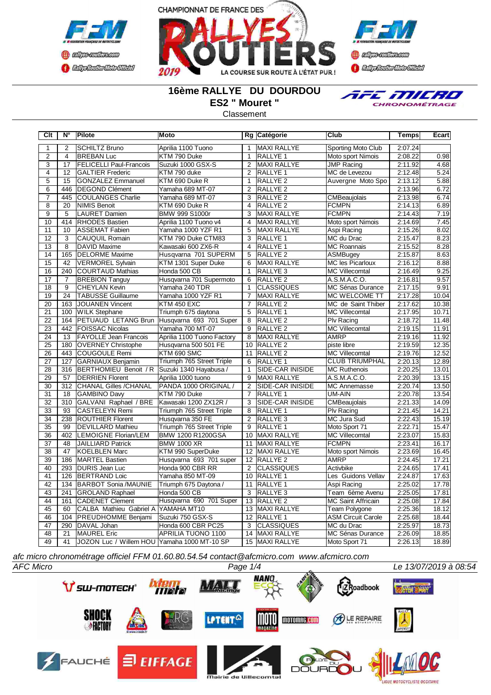





### **16ème RALLYE DU DOURDOU ES2 " Mouret "**

Classement

**Clt N° Pilote Moto Rg Catégorie Club Temps Ecart**



1 2 SCHILTZ Bruno Aprilia 1100 Tuono 1 MAXI RALLYE Sporting Moto Club 2:07.24 2 4 BREBAN Luc KTM 790 Duke 1 RALLYE 1 Moto sport Nimois 2:08.22 0.98 3 17 FELICELLI Paul-Francois Suzuki 1000 GSX-S 2 MAXI RALLYE JMP Racing 2:11.92 4.68 4 12 GALTIER Frederic KTM 790 duke 2 RALLYE 1 MC de Levezou 2:12.48 5.24<br>2 RALLYE 2 Auvergne Moto Spo 2:13.12 5.88 5 15 GONZALEZ Emmanuel KTM 690 Duke R 1 RALLYE 2 Auvergne Moto Spo 2:13.12 5.88 6 446 DEGOND Clément Yamaha 689 MT-07 2 RALLYE 2 2:13.96 6.72<br>2.13.96 6.72 2:13.96 6.74<br>2.13.98 6.74 7 445 COULANGES Charlie Yamaha 689 MT-07 3 RALLYE 2 CMBeaujolais 2:13.98 6.74 8 20 NIMIS Benoit KTM 690 Duke R 4 RALLYE 2 FCMPN 2:14.13 6.89 **BMW 999 S1000r** 10 414 RHODES Bastien Aprilia 1100 Tuono v4 4 MAXI RALLYE Moto sport Nimois 2:14.69 7.45 10 ASSEMAT Fabien Yamaha 1000 YZF R1 5 MAXI RALLYE Aspi Racing 12 3 CAUQUIL Romain KTM 790 Duke CTM83 3 RALLYE 1 MC du Drac 2:15.47 8.23 13 8 DAVID Maxime Kawasaki 600 ZX6-R 4 RALLYE 1 MC Roannais 2:15.52 8.28 14 165 DELORME Maxime Husqvarna 701 SUPERM 5 RALLYE 2 ASMBugey 2:15.87 8.63<br>15 42 VERMOREL Sylvain KTM 1301 Super Duke 6 MAXI RALLYE MC les Picarloux 2:16.12 8.88 15 42 VERMOREL Sylvain KTM 1301 Super Duke 6 MAXI RALLYE MC les Picarloux 2:16.12 8.88 16 240 COURTAUD Mathias Honda 500 CB 1 RALLYE 3 MC Villecomtal 2:16.49 9.25 17 7 BREBION Tanguy Husqvarna 701 Supermoto 6 RALLYE 2 A.S.M.A.C.O. 2:16.81 9.57<br>18 9 CHEYLAN Kevin Yamaha 240 TDR 1 CLASSIQUES MC Sénas Durance 2:17.15 9.91 18 9 CHEYLAN Kevin Yamaha 240 TDR 1 CLASSIQUES MC Sénas Durance 19 24 TABUSSE Guillaume Yamaha 1000 YZF R1 7 MAXI RALLYE MC WELCOME TT 2:17.28 10.04<br>20 163 JOUANEN Vincent KTM 450 EXC 7 RALLYE 2 MC de Saint Thiber 2:17.62 10.38 20 163 JOUANEN Vincent KTM 450 EXC 7 RALLYE 2 MC de Saint Thiber 21 100 WILK Stephane Triumph 675 daytona 5 RALLYE 1 MC Villecomtal 2:17.95 10.71<br>22 164 PETUAUD LETANG Brun Husqvarna 693 701 Super 8 RALLYE 2 PIv Racing 2:18.72 11.48 164 PETUAUD LETANG Brun Husqvarna 693 701 Super 8 23 442 FOISSAC Nicolas Yamaha 700 MT-07 9 RALLYE 2 MC Villecomtal 2:19.15 11.91<br>24 13 FAYOLLE Jean Francois Aprilia 1100 Tuono Factory 8 MAXI RALLYE AMRP 2:19.16 11.92 213 FAYOLLE Jean Francois Aprilia 1100 Tuono Factory 8 MAXI RALLYE AMRP 2:19.16 11.92<br>180 OVERNEY Christophe Husqvarna 500 501 FE 10 RALLYE 2 piste libre 2:19.59 12.35 25 180 OVERNEY Christophe Husqvarna 500 501 FE 10 RALLYE 2 piste libre 2:19.59 12.35 243 COUGOULE Remi KTM 690 SMC 11 27 127 GARNIAUX Benjamin Triumph 765 Street Triple 6 RALLYE 1 CLUB TRIUMPHAL 2:20.13 12.89<br>28 316 BERTHOMIEU Benoit / R Suzuki 1340 Hayabusa / 1 SIDE-CAR INISIDE MC Ruthenois 2:20.25 13.01 28 316 BERTHOMIEU Benoit / R Suzuki 1340 Hayabusa / 1 SIDE-CAR INISIDE MC Ruthenois 2:20.25 13.01<br>29 57 DERRIEN Florent Aprilia 1000 tuono 9 MAXI RALLYE A.S.M.A.C.O. 2:20.39 13.15 220.39 13.15 57 DERRIEN Florent Aprilia 1000 tuono 9 MAXI RALLYE A.S.M.A.C.O. 2:20.39 13.15<br>29 CHANAL Gilles /CHANAL PANDA 1000 ORIGINAL / 2 SIDE-CAR INISIDE MC Annemasse 2:20.74 13.50 30 312 CHANAL Gilles /CHANAL PANDA 1000 ORIGINAL / 2 SIDE-CAR INISIDE MC Annemasse 2:20.74 13.50 31 | 18 |GAMBINO Davy |KTM 790 Duke 7 |RALLYE 1 |UM-AIN | 2:20.78 13.54 32 310 GALVANI Raphael / BRE Kawasaki 1200 ZX12R / 3 SIDE-CAR INISIDE CMBeaujolais 2:21.33 14.09 Triumph 765 Street Triple 34 238 ROUTHIER Florent Husqvarna 350 FE 2 RALLYE 3 MC Jura Sud 2:22.43 15.19 35 99 DEVILLARD Mathieu Triumph 765 Street Triple 9 RALLYE 1 Moto Sport 71 2:22.71 15.47 36 402 LEMOIGNE Florian/LEM BMW 1200 R1200GSA 10 MAXI RALLYE MC Villecomtal 2:23.07 15.83 37 48 JAILLIARD Patrick BMW 1000 XR 11 MAXI RALLYE FCMPN 2:23.41 16.17 38 47 KOELBLEN Marc KTM 990 SuperDuke 12 MAXI RALLYE Moto sport Nimois 2:23.69 16.45 39 186 MARTEL Bastien Husqvarna 693 701 super 12 RALLYE 2 AMRP 2:24.45 17.21 40 293 DURIS Jean Luc Honda 900 CBR RR 2 CLASSIQUES Activbike 2:24.65 17.41 41 126 BERTRAND Loic Vamaha 850 MT-09 10 RALLYE 1 Les Guidons Vellav 2:24.87 17.63<br>42 134 BARBOT Sonia MAUNIE Triumph 675 Daytona / 11 RALLYE 1 Aspi Racing 2:25.02 17.78 42 134 BARBOT Sonia /MAUNIE Triumph 675 Daytona / 11 RALLYE 1 Aspi Racing 2:25.02 17.78 43 241 GROLAND Raphael Honda 500 CB 3 RALLYE 3 Team 6ème Avenu 2:25.05 17.81 161 CADENET Clement Husqvarna 690 701 Super 13 RALLYE 2 MC Saint Affricain 2:25.08<br>60 CALBA Mathieu Gabriel A VAMAHA MT10 13 MAXI RALLYE Team Polygone 2:25.36 45 60 CALBA Mathieu Gabriel A YAMAHA MT10 13 MAXI RALLYE Team Polygone 2:25.36 18.12 46 104 PREUDHOMME Benjami Suzuki 750 GSX-S 47 290 DAVAL Johan Honda 600 CBR PC25 3 CLASSIQUES MC du Drac 2:25.97 18.73 21 MAUREL Eric **APRILIA TUONO 1100** 14 MAXI RALLYE MC Sénas Durance 2:26.09 18.85 49 41 JOZON Luc / Willem HOU Yamaha 1000 MT-10 SP 15 MAXI RALLYE Moto Sport 71 2:26.13 18.89

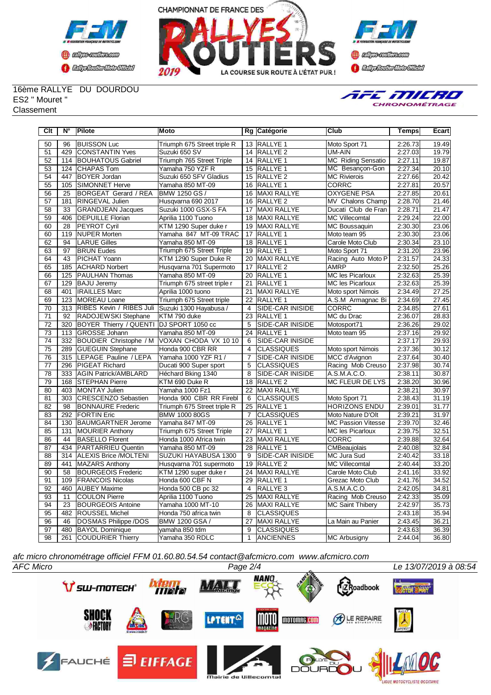



**Confederation Complementation** 

#### 16ème RALLYE DU DOURDOU ES2 " Mouret "

**Classement** 



| Clt             | $N^{\circ}$      | Pilote                                  | Moto                        |                 | Rg Catégorie            | <b>Club</b>               | <b>Temps</b> | Ecart |
|-----------------|------------------|-----------------------------------------|-----------------------------|-----------------|-------------------------|---------------------------|--------------|-------|
| 50              | 96               | <b>BUISSON Luc</b>                      | Triumph 675 Street triple R |                 | 13 RALLYE 1             | Moto Sport 71             | 2:26.73      | 19.49 |
| 51              | 429              | CONSTANTIN Yves                         | Suzuki 650 SV               | 14              | RALLYE <sub>2</sub>     | UM-AIN                    | 2:27.03      | 19.79 |
| 52              | 114              | <b>BOUHATOUS Gabriel</b>                | Triumph 765 Street Triple   | 14              | RALLYE <sub>1</sub>     | <b>MC Riding Sensatio</b> | 2:27.11      | 19.87 |
| 53              | 124              | CHAPAS Tom                              | Yamaha 750 YZF R            | 15              | <b>RALLYE 1</b>         | MC Besancon-Gon           | 2:27.34      | 20.10 |
| 54              | 447              | <b>BOYER Jordan</b>                     | Suzuki 650 SFV Gladius      | 15              | <b>RALLYE 2</b>         | <b>MC Rivierois</b>       | 2:27.66      | 20.42 |
| 55              | 105              | <b>SIMONNET Herve</b>                   | Yamaha 850 MT-09            |                 | 16 RALLYE 1             | CORRC                     | 2:27.81      | 20.57 |
| 56              | 25               | <b>BORGEAT Gerard / REA</b>             | BMW 1250 GS /               | 16              | <b>MAXI RALLYE</b>      | <b>OXYGENE PSA</b>        | 2:27.85      | 20.61 |
| 57              | 181              | <b>RINGEVAL Julien</b>                  | Husqvarna 690 2017          | 16              | RALLYE <sub>2</sub>     | MV Chalons Champ          | 2:28.70      | 21.46 |
| 58              | $\overline{33}$  | <b>GRANDJEAN Jacques</b>                | Suzuki 1000 GSX-S FA        | 17              | <b>MAXI RALLYE</b>      | Ducati Club de Fran       | 2:28.71      | 21.47 |
| 59              | 406              | <b>DEPUILLE Florian</b>                 | Aprilia 1100 Tuono          | $\overline{18}$ | <b>MAXI RALLYE</b>      | <b>MC Villecomtal</b>     | 2:29.24      | 22.00 |
| 60              | $\overline{28}$  | <b>PEYROT Cyril</b>                     | KTM 1290 Super duke r       | $\overline{19}$ | <b>MAXI RALLYE</b>      | <b>MC Boussaquin</b>      | 2:30.30      | 23.06 |
| 60              | 119              | <b>NUPER Morten</b>                     | Yamaha 847 MT-09 TRAC       | 17              | <b>RALLYE 1</b>         | Moto team 95              | 2:30.30      | 23.06 |
| 62              | 94               | <b>LARUE Gilles</b>                     | Yamaha 850 MT-09            |                 | 18 RALLYE 1             | Carole Moto Club          | 2:30.34      | 23.10 |
| 63              | 97               | <b>BRUN Eudes</b>                       | Triumph 675 Street Triple   |                 | 19 RALLYE 1             | Moto Sport 71             | 2:31.20      | 23.96 |
| 64              | 43               | PICHAT Yoann                            | KTM 1290 Super Duke R       | 20              | MAXI RALLYE             | Racing Auto Moto P        | 2:31.57      | 24.33 |
| 65              | 185              | <b>ACHARD Norbert</b>                   | Husqvarna 701 Supermoto     | 17              | RALLYE <sub>2</sub>     | <b>AMRP</b>               | 2:32.50      | 25.26 |
| 66              | 125              | <b>PAULHAN Thomas</b>                   | Yamaha 850 MT-09            | 20              | <b>RALLYE 1</b>         | <b>MC les Picarloux</b>   | 2:32.63      | 25.39 |
| 67              | 129              | <b>BAJU Jeremy</b>                      | Triumph 675 street triple r | 21              | <b>RALLYE 1</b>         | <b>MC les Picarloux</b>   | 2:32.63      | 25.39 |
| 68              | 401              | <b>IRAILLES Marc</b>                    | Aprilia 1000 tuono          | 21              | MAXI RALLYE             | Moto sport Nimois         | 2:34.49      | 27.25 |
| 69              | 123              | <b>MOREAU Loane</b>                     | Triumph 675 Street triple   | 22              | <b>RALLYE 1</b>         | A.S.M Armagnac Bi         | 2:34.69      | 27.45 |
| 70              | $\overline{313}$ | RIBES Kevin / RIBES Juli                | Suzuki 1300 Hayabusa /      | $\overline{4}$  | <b>SIDE-CAR INISIDE</b> | <b>CORRC</b>              | 2:34.85      | 27.61 |
| 71              | 92               | RADOJEWSKI Stephane                     | KTM 790 duke                | 23              | <b>RALLYE 1</b>         | MC du Drac                | 2:36.07      | 28.83 |
| $\overline{72}$ | $\overline{320}$ | BOYER Thierry / QUENTI DJ SPORT 1050 cc |                             | 5               | <b>SIDE-CAR INISIDE</b> | Motosport71               | 2:36.26      | 29.02 |
| 73              | 113              | GROSSE Johann                           | Yamaha 850 MT-09            | 24              | <b>RALLYE 1</b>         | Moto team 95              | 2:37.16      | 29.92 |
| 74              | 332              | BOUDIER Christophe / M                  | VOXAN CHODA VX 1010         | 6               | <b>SIDE-CAR INISIDE</b> |                           | 2:37.17      | 29.93 |
| 75              | 289              | <b>GUEGUIN Stephane</b>                 | Honda 900 CBR RR            | $\overline{4}$  | <b>CLASSIQUES</b>       | Moto sport Nimois         | 2:37.36      | 30.12 |
| 76              | 315              | LEPAGE Pauline / LEPA                   | Yamaha 1000 YZF R1 /        | 7               | <b>SIDE-CAR INISIDE</b> | MCC d'Avignon             | 2:37.64      | 30.40 |
| 77              | 296              | <b>PIGEAT Richard</b>                   | Ducati 900 Super sport      | 5               | <b>CLASSIQUES</b>       | Racing Mob Creuso         | 2:37.98      | 30.74 |
| $\overline{78}$ | 333              | <b>AGIN Patrick/AMBLARD</b>             | Héchard Bking 1340          | 8               | SIDE-CAR INISIDE        | A.S.M.A.C.O.              | 2:38.11      | 30.87 |
| 79              | 168              | <b>STEPHAN Pierre</b>                   | KTM 690 Duke R              | 18              | RALLYE <sub>2</sub>     | <b>MC FLEUR DE LYS</b>    | 2:38.20      | 30.96 |
| 80              | 403              | MONTAY Julien                           | Yamaha 1000 Fz1             | 22              | MAXI RALLYE             |                           | 2:38.21      | 30.97 |
| 81              | $\overline{303}$ | <b>CRESCENZO Sebastien</b>              | Honda 900 CBR RR Firebl     | 6               | <b>CLASSIQUES</b>       | Moto Sport 71             | 2:38.43      | 31.19 |
| 82              | 98               | <b>BONNAURE</b> Frederic                | Triumph 675 Street triple R | 25              | <b>RALLYE 1</b>         | <b>HORIZONS ENDU</b>      | 2:39.01      | 31.77 |
| 83              | 292              | <b>FORTIN</b> Eric                      | <b>BMW 1000 80GS</b>        | $\overline{7}$  | <b>CLASSIQUES</b>       | Moto Nature D'Olt         | 2:39.21      | 31.97 |
| 84              | 130              | <b>BAUMGARTNER Jerome</b>               | Yamaha 847 MT-09            | $\overline{26}$ | <b>RALLYE 1</b>         | <b>MC Passion Vitesse</b> | 2:39.70      | 32.46 |
| 85              | 131              | <b>MOURIER Anthony</b>                  | Triumph 675 Street Triple   | 27              | <b>RALLYE 1</b>         | <b>MC les Picarloux</b>   | 2:39.75      | 32.51 |
| 86              | 44               | <b>BASELLO Florent</b>                  | Honda 1000 Africa twin      | $\overline{23}$ | MAXI RALLYE             | <b>CORRC</b>              | 2:39.88      | 32.64 |
| 87              | 434              | <b>PARTARRIEU Quentin</b>               | Yamaha 850 MT-09            | $\overline{28}$ | <b>RALLYE 1</b>         | CMBeaujolais              | 2:40.08      | 32.84 |
| 88              | $\overline{314}$ | <b>ALEXIS Brice /MOLTENI</b>            | SUZUKI HAYABUSA 1300        | $\overline{9}$  | <b>SIDE-CAR INISIDE</b> | <b>MC Jura Sud</b>        | 2:40.42      | 33.18 |
| 89              | 441              | MAZARS Anthony                          | Husqvarna 701 supermoto     | 19              | RALLYE <sub>2</sub>     | <b>MC Villecomtal</b>     | 2:40.44      | 33.20 |
| 90              | $\overline{58}$  | <b>BOURGEOIS Frederic</b>               | KTM 1290 super duke r       | 24              | MAXI RALLYE             | Carole Moto Club          | 2:41.16      | 33.92 |
| 91              | 109              | <b>FRANCOIS Nicolas</b>                 | Honda 600 CBF N             | 29              | <b>RALLYE 1</b>         | Grezac Moto Club          | 2:41.76      | 34.52 |
| 92              | 460              | <b>AUBEY Maxime</b>                     | Honda 500 CB pc 32          | $\overline{4}$  | RALLYE <sub>3</sub>     | A.S.M.A.C.O.              | 2:42.05      | 34.81 |
| 93              | 11               | <b>COULON Pierre</b>                    | Aprilia 1100 Tuono          | 25              | MAXI RALLYE             | Racing Mob Creuso         | 2:42.33      | 35.09 |
| 94              | 23               | <b>BOURGEOIS Antoine</b>                | Yamaha 1000 MT-10           | 26              | MAXI RALLYE             | <b>MC Saint Thibery</b>   | 2:42.97      | 35.73 |
| 95              | 482              | <b>ROUSSEL Michel</b>                   | Honda 750 africa twin       | 8               | <b>CLASSIQUES</b>       |                           | 2:43.18      | 35.94 |
| 96              | 46               | DOSMAS Philippe /DOS                    | BMW 1200 GSA /              | 27              | <b>MAXI RALLYE</b>      | La Main au Panier         | 2:43.45      | 36.21 |
| 97              | 480              | <b>BAYOL Dominique</b>                  | yamaha 850 tdm              | 9               | <b>CLASSIQUES</b>       |                           | 2:43.63      | 36.39 |
| 98              | 261              | <b>COUDURIER Thierry</b>                | Yamaha 350 RDLC             | $\mathbf{1}$    | <b>ANCIENNES</b>        | <b>MC Arbusigny</b>       | 2:44.04      | 36.80 |

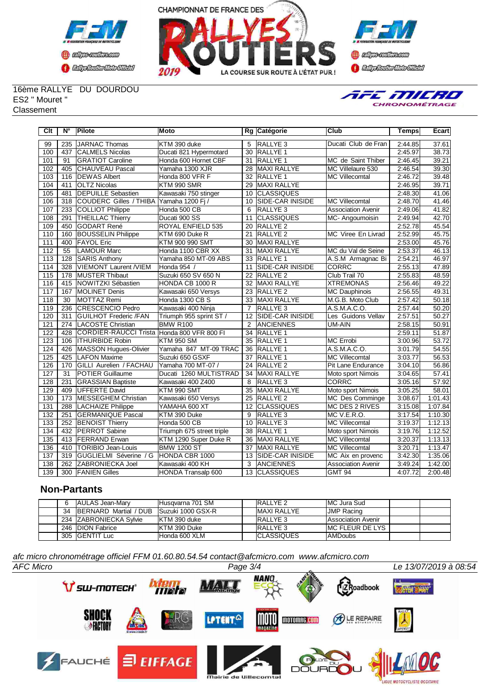





#### 16ème RALLYE DU DOURDOU ES2 " Mouret "

**Classement** 



| Clt              | N°              | Pilote                          | <b>Moto</b>               |                 | Rg Catégorie            | Club                      | Temps   | Ecart   |
|------------------|-----------------|---------------------------------|---------------------------|-----------------|-------------------------|---------------------------|---------|---------|
| 99               | 235             | JARNAC Thomas                   | KTM 390 duke              | 5               | <b>RALLYE 3</b>         | Ducati Club de Fran       | 2:44.85 | 37.61   |
| 100              | 437             | <b>CALMELS Nicolas</b>          | Ducati 821 Hypermotard    | 30              | <b>RALLYE 1</b>         |                           | 2:45.97 | 38.73   |
| 101              | 91              | <b>GRATIOT Caroline</b>         | Honda 600 Hornet CBF      | 31              | <b>RALLYE 1</b>         | MC de Saint Thiber        | 2:46.45 | 39.21   |
| 102              | 405             | CHAUVEAU Pascal                 | Yamaha 1300 XJR           | 28              | <b>MAXI RALLYE</b>      | MC Villelaure 530         | 2:46.54 | 39.30   |
| 103              | 116             | <b>DEWAS Albert</b>             | Honda 800 VFR F           | 32              | <b>RALLYE 1</b>         | <b>MC Villecomtal</b>     | 2:46.72 | 39.48   |
| 104              | 411             | <b>OLTZ Nicolas</b>             | KTM 990 SMR               | 29              | <b>MAXI RALLYE</b>      |                           | 2:46.95 | 39.71   |
| 105              | 481             | <b>IDEPUILLE Sebastien</b>      | Kawasaki 750 stinger      | 10              | <b>CLASSIQUES</b>       |                           | 2:48.30 | 41.06   |
| 106              | 318             | <b>COUDERC Gilles / THIBA</b>   | Yamaha 1200 Fi/           | 10              | <b>SIDE-CAR INISIDE</b> | <b>MC Villecomtal</b>     | 2:48.70 | 41.46   |
| 107              | 233             | COLLIOT Philippe                | Honda 500 CB              | 6               | <b>RALLYE 3</b>         | <b>Association Avenir</b> | 2:49.06 | 41.82   |
| 108              | 291             | <b>THEILLAC Thierry</b>         | Ducati 900 SS             | 11              | <b>CLASSIQUES</b>       | MC-Angoumoisin            | 2:49.94 | 42.70   |
| 109              | 450             | <b>GODART René</b>              | <b>ROYAL ENFIELD 535</b>  | 20              | <b>RALLYE 2</b>         |                           | 2:52.78 | 45.54   |
| 110              | 160             | <b>BOUSSELIN Philippe</b>       | KTM 690 Duke R            | 21              | <b>RALLYE 2</b>         | MC Viree En Livrad        | 2:52.99 | 45.75   |
| 111              | 400             | <b>FAYOL Eric</b>               | KTM 900 990 SMT           | $\overline{30}$ | <b>MAXI RALLYE</b>      |                           | 2:53.00 | 45.76   |
| 112              | 55              | <b>LAMOUR Marc</b>              | Honda 1100 CBR XX         | 31              | <b>MAXI RALLYE</b>      | MC du Val de Seine        | 2:53.37 | 46.13   |
| $\overline{113}$ | 128             | <b>SARIS Anthony</b>            | Yamaha 850 MT-09 ABS      | $\overline{33}$ | <b>RALLYE1</b>          | A.S.M Armagnac Bi         | 2:54.21 | 46.97   |
| 114              | 328             | <b>VIEMONT Laurent /VIEM</b>    | Honda 954 /               | 11              | SIDE-CAR INISIDE        | <b>CORRC</b>              | 2:55.13 | 47.89   |
| 115              | 178             | <b>MUSTER Thibaut</b>           | Suzuki 650 SV 650 N       | 22              | <b>RALLYE 2</b>         | Club Trail 70             | 2:55.83 | 48.59   |
| 116              | 415             | <b>NOWITZKI Sébastien</b>       | <b>HONDA CB 1000 R</b>    | 32              | <b>MAXI RALLYE</b>      | <b>XTREMONAS</b>          | 2:56.46 | 49.22   |
| 117              | 167             | <b>I</b> MOLINET Denis          | Kawasaki 650 Versys       | 23              | <b>RALLYE 2</b>         | <b>MC Dauphinois</b>      | 2:56.55 | 49.31   |
| 118              | $\overline{30}$ | MOTTAZ Remi                     | Honda 1300 CB S           | 33              | <b>MAXI RALLYE</b>      | M.G.B. Moto Club          | 2:57.42 | 50.18   |
| 119              | 236             | <b>CRESCENCIO Pedro</b>         | Kawasaki 400 Ninja        | $\overline{7}$  | <b>RALLYE 3</b>         | A.S.M.A.C.O.              | 2:57.44 | 50.20   |
| 120              | 311             | <b>GUILHOT Frederic /FAN</b>    | Triumph 955 sprint ST /   | 12              | <b>SIDE-CAR INISIDE</b> | Les Guidons Vellav        | 2:57.51 | 50.27   |
| 121              | 274             | <b>LACOSTE Christian</b>        | <b>BMW R100</b>           | 2               | <b>ANCIENNES</b>        | <b>UM-AIN</b>             | 2:58.15 | 50.91   |
| 122              | 428             | <b>CORDIER-RAUCCI Trista</b>    | Honda 800 VFR 800 FI      | 34              | IRALLYE 1               |                           | 2:59.11 | 51.87   |
| 123              | 106             | <b>ITHURBIDE Robin</b>          | <b>KTM 950 SM</b>         | $\overline{35}$ | <b>RALLYE 1</b>         | <b>MC Errobi</b>          | 3:00.96 | 53.72   |
| 124              | 426             | MASSON Hugues-Olivier           | Yamaha 847 MT-09 TRAC     | 36              | RALLYE <sub>1</sub>     | A.S.M.A.C.O.              | 3:01.79 | 54.55   |
| 125              | 425             | <b>LAFON Maxime</b>             | Suzuki 650 GSXF           | 37              | <b>RALLYE 1</b>         | <b>MC Villecomtal</b>     | 3:03.77 | 56.53   |
| 126              | 170             | <b>IGILLI Aurelien / FACHAU</b> | Yamaha 700 MT-07 /        | 24              | <b>RALLYE 2</b>         | Pit Lane Endurance        | 3:04.10 | 56.86   |
| 127              | $\overline{31}$ | <b>POTIER Guillaume</b>         | Ducati 1260 MULTISTRAD    | 34              | <b>MAXI RALLYE</b>      | Moto sport Nimois         | 3:04.65 | 57.41   |
| 128              | 231             | <b>GRASSIAN Baptiste</b>        | Kawasaki 400 Z400         | 8               | <b>RALLYE 3</b>         | <b>CORRC</b>              | 3:05.16 | 57.92   |
| $\overline{129}$ | 409             | <b>IUFFERTE David</b>           | KTM 990 SMT               | 35              | <b>IMAXI RALLYE</b>     | Moto sport Nimois         | 3:05.25 | 58.01   |
| 130              | 173             | MESSEGHEM Christian             | Kawasaki 650 Versys       | 25              | <b>RALLYE 2</b>         | MC Des Comminge           | 3:08.67 | 1:01.43 |
| $\overline{131}$ | 288             | <b>LACHAIZE Philippe</b>        | YAMAHA 600 XT             | 12              | <b>CLASSIQUES</b>       | <b>MC DES 2 RIVES</b>     | 3:15.08 | 1:07.84 |
| 132              | 251             | <b>I</b> GERMANIQUE Pascal      | KTM 390 Duke              | 9               | <b>RALLYE 3</b>         | MC V.E.R.O.               | 3:17.54 | 1:10.30 |
| 133              | 252             | <b>BENOIST Thierry</b>          | Honda 500 CB              | 10              | RALLYE <sub>3</sub>     | <b>MC Villecomtal</b>     | 3:19.37 | 1:12.13 |
| 134              | 432             | <b>PERROT Sabine</b>            | Triumph 675 street triple | 38              | <b>RALLYE 1</b>         | Moto sport Nimois         | 3:19.76 | 1:12.52 |
| 135              | 413             | <b>FERRAND</b> Erwan            | KTM 1290 Super Duke R     | 36              | MAXI RALLYE             | <b>MC Villecomtal</b>     | 3:20.37 | 1:13.13 |
| 136              | 410             | <b>TORIBIO Jean-Louis</b>       | <b>BMW 1200 ST</b>        | 37              | <b>MAXI RALLYE</b>      | <b>MC Villecomtal</b>     | 3:20.71 | 1:13.47 |
| 137              | 319             | GUGLIELMI Séverine / G          | HONDA CBR 1000            | 13              | <b>SIDE-CAR INISIDE</b> | MC Aix en provenc         | 3:42.30 | 1:35.06 |
| 138              | 262             | <b>ZABRONIECKA Joel</b>         | Kawasaki 400 KH           | 3               | <b>ANCIENNES</b>        | <b>Association Avenir</b> | 3:49.24 | 1:42.00 |
| 139              |                 | 300 FANIEN Gilles               | HONDA Transalp 600        | 13              | <b>CLASSIQUES</b>       | <b>GMT 94</b>             | 4:07.72 | 2:00.48 |

#### **Non-Partants**

| 6  | AULAS Jean-Mary               | Husgyarna 701 SM         | <b>RALLYE 2</b>     | MC Jura Sud               |  |
|----|-------------------------------|--------------------------|---------------------|---------------------------|--|
| 34 | <b>IBERNARD Martial / DUB</b> | <b>Suzuki 1000 GSX-R</b> | <b>IMAXI RALLYE</b> | <b>JMP Racing</b>         |  |
|    | 234 IZABRONIECKA Svlvie       | IKTM 390 duke            | <b>IRALLYE 3</b>    | <b>Association Avenir</b> |  |
|    | 246 IDION Fabrice             | IKTM 390 Duke            | <b>RALLYE 3</b>     | <b>IMC FLEUR DE LYS</b>   |  |
|    | 305 IGENTIT Luc               | IHonda 600 XLM           | <b>ICLASSIQUES</b>  | <b>AMDoubs</b>            |  |